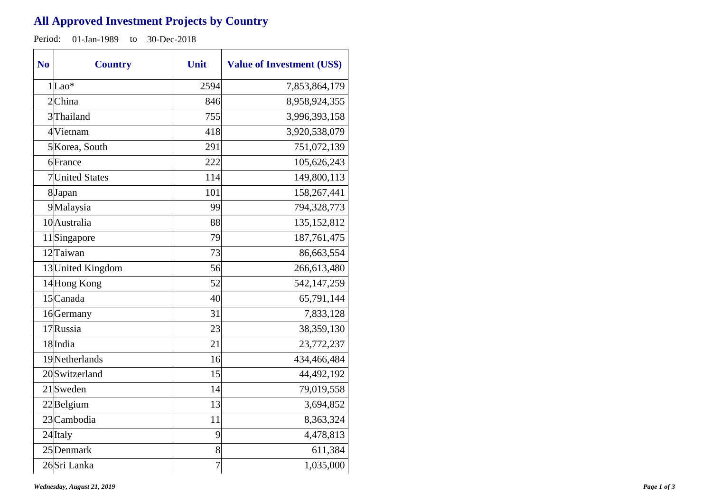## **All Approved Investment Projects by Country**

Period: 01-Jan-1989 to 30-Dec-2018

| N <sub>o</sub> | <b>Country</b>    | Unit           | <b>Value of Investment (US\$)</b> |
|----------------|-------------------|----------------|-----------------------------------|
|                | $1 $ Lao*         | 2594           | 7,853,864,179                     |
|                | $2$ China         | 846            | 8,958,924,355                     |
|                | 3 Thailand        | 755            | 3,996,393,158                     |
|                | 4 Vietnam         | 418            | 3,920,538,079                     |
|                | 5 Korea, South    | 291            | 751,072,139                       |
|                | 6France           | 222            | 105,626,243                       |
|                | 7 United States   | 114            | 149,800,113                       |
|                | 8Japan            | 101            | 158,267,441                       |
|                | 9Malaysia         | 99             | 794,328,773                       |
|                | 10 Australia      | 88             | 135, 152, 812                     |
|                | 11Singapore       | 79             | 187,761,475                       |
|                | 12 Taiwan         | 73             | 86,663,554                        |
|                | 13 United Kingdom | 56             | 266,613,480                       |
|                | 14 Hong Kong      | 52             | 542,147,259                       |
|                | 15 Canada         | 40             | 65,791,144                        |
|                | 16Germany         | 31             | 7,833,128                         |
|                | 17 Russia         | 23             | 38,359,130                        |
|                | 18 India          | 21             | 23,772,237                        |
|                | 19 Netherlands    | 16             | 434,466,484                       |
|                | 20 Switzerland    | 15             | 44,492,192                        |
|                | $21$ Sweden       | 14             | 79,019,558                        |
|                | $22$ Belgium      | 13             | 3,694,852                         |
|                | 23 Cambodia       | 11             | 8,363,324                         |
|                | 24 Italy          | 9              | 4,478,813                         |
|                | 25 Denmark        | 8              | 611,384                           |
|                | 26Sri Lanka       | $\overline{7}$ | 1,035,000                         |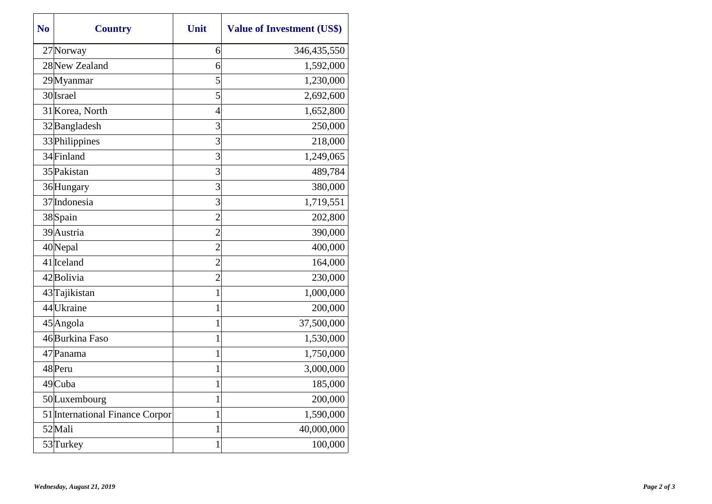| N <sub>0</sub> | <b>Country</b>                  | Unit           | <b>Value of Investment (US\$)</b> |
|----------------|---------------------------------|----------------|-----------------------------------|
|                | 27 Norway                       | 6              | 346,435,550                       |
|                | 28 New Zealand                  | 6              | 1,592,000                         |
|                | 29Myanmar                       | 5              | 1,230,000                         |
|                | 30 Israel                       | 5              | 2,692,600                         |
|                | 31 Korea, North                 | $\overline{4}$ | 1,652,800                         |
|                | 32 Bangladesh                   | 3              | 250,000                           |
|                | 33 Philippines                  | 3              | 218,000                           |
|                | 34 Finland                      | 3              | 1,249,065                         |
|                | 35 Pakistan                     | 3              | 489,784                           |
|                | 36 Hungary                      | 3              | 380,000                           |
|                | 37 Indonesia                    | 3              | 1,719,551                         |
|                | 38Spain                         | $\overline{2}$ | 202,800                           |
|                | 39 Austria                      | $\overline{2}$ | 390,000                           |
|                | 40Nepal                         | $\overline{2}$ | 400,000                           |
|                | $41$  Iceland                   | $\overline{2}$ | 164,000                           |
|                | 42Bolivia                       | $\overline{2}$ | 230,000                           |
|                | 43 Tajikistan                   | $\mathbf{1}$   | 1,000,000                         |
|                | 44 Ukraine                      | 1              | 200,000                           |
|                | 45 Angola                       | 1              | 37,500,000                        |
|                | 46 Burkina Faso                 | $\mathbf{1}$   | 1,530,000                         |
|                | 47 Panama                       | 1              | 1,750,000                         |
|                | 48Peru                          | 1              | 3,000,000                         |
|                | 49 Cuba                         | 1              | 185,000                           |
|                | 50Luxembourg                    | 1              | 200,000                           |
|                | 51 International Finance Corpor | 1              | 1,590,000                         |
|                | 52Mali                          | $\mathbf{1}$   | 40,000,000                        |
|                | 53 Turkey                       | 1              | 100,000                           |